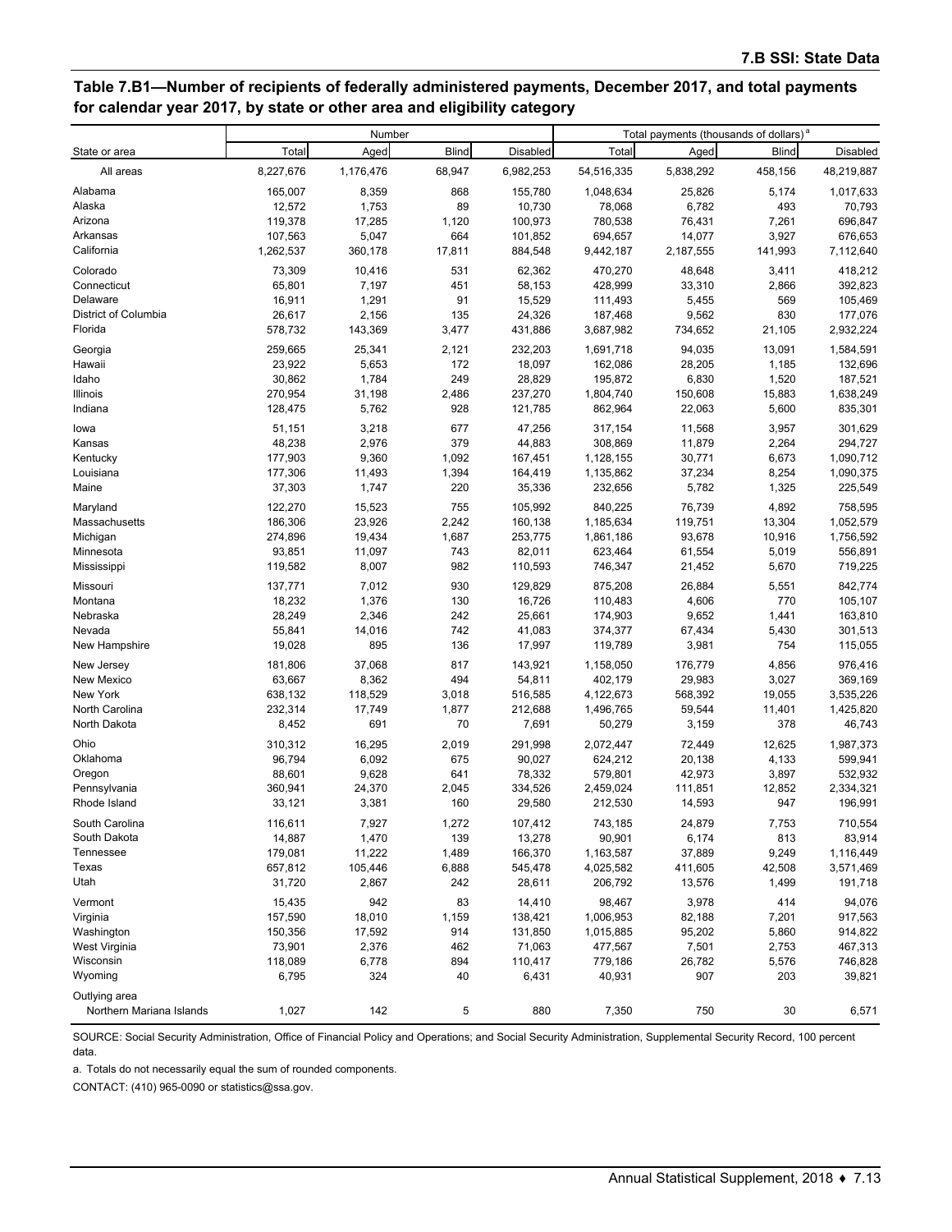## **Table 7.B1—Number of recipients of federally administered payments, December 2017, and total payments for calendar year 2017, by state or other area and eligibility category**

|                          | Number    |           |              | Total payments (thousands of dollars) <sup>a</sup> |            |           |              |            |
|--------------------------|-----------|-----------|--------------|----------------------------------------------------|------------|-----------|--------------|------------|
| State or area            | Total     | Aged      | <b>Blind</b> | Disabled                                           | Total      | Aged      | <b>Blind</b> | Disabled   |
| All areas                | 8,227,676 | 1,176,476 | 68,947       | 6,982,253                                          | 54,516,335 | 5,838,292 | 458,156      | 48,219,887 |
| Alabama                  | 165,007   | 8,359     | 868          | 155,780                                            | 1,048,634  | 25,826    | 5,174        | 1,017,633  |
| Alaska                   | 12,572    | 1,753     | 89           | 10,730                                             | 78,068     | 6,782     | 493          | 70,793     |
| Arizona                  | 119,378   | 17,285    | 1,120        | 100,973                                            | 780,538    | 76,431    | 7,261        | 696,847    |
| Arkansas                 | 107,563   | 5,047     | 664          | 101,852                                            | 694,657    | 14,077    | 3,927        | 676,653    |
| California               | 1,262,537 | 360,178   | 17,811       | 884,548                                            | 9,442,187  | 2,187,555 | 141,993      | 7,112,640  |
| Colorado                 | 73,309    | 10,416    | 531          | 62,362                                             | 470,270    | 48,648    | 3,411        | 418,212    |
| Connecticut              | 65,801    | 7,197     | 451          | 58,153                                             | 428,999    | 33,310    | 2,866        | 392,823    |
| Delaware                 | 16,911    | 1,291     | 91           | 15,529                                             | 111,493    | 5,455     | 569          | 105,469    |
| District of Columbia     | 26,617    | 2,156     | 135          | 24,326                                             | 187,468    | 9,562     | 830          | 177,076    |
| Florida                  | 578,732   | 143,369   | 3,477        | 431,886                                            | 3,687,982  | 734,652   | 21,105       | 2,932,224  |
| Georgia                  | 259,665   | 25,341    | 2,121        | 232,203                                            | 1,691,718  | 94,035    | 13,091       | 1,584,591  |
| Hawaii                   | 23,922    | 5,653     | 172          | 18,097                                             | 162,086    | 28,205    | 1,185        | 132,696    |
| Idaho                    | 30,862    | 1,784     | 249          | 28,829                                             | 195,872    | 6,830     | 1,520        | 187,521    |
| Illinois                 | 270,954   | 31,198    | 2,486        | 237,270                                            | 1,804,740  | 150,608   | 15,883       | 1,638,249  |
| Indiana                  | 128,475   | 5,762     | 928          | 121,785                                            | 862,964    | 22,063    | 5,600        | 835,301    |
| lowa                     | 51,151    | 3,218     | 677          | 47,256                                             | 317,154    | 11,568    | 3,957        | 301,629    |
| Kansas                   | 48,238    | 2,976     | 379          | 44,883                                             | 308,869    | 11,879    | 2,264        | 294,727    |
| Kentucky                 | 177,903   | 9,360     | 1,092        | 167,451                                            | 1,128,155  | 30,771    | 6,673        | 1,090,712  |
| Louisiana                | 177,306   | 11,493    | 1,394        | 164,419                                            | 1,135,862  | 37,234    | 8,254        | 1,090,375  |
| Maine                    | 37,303    | 1,747     | 220          | 35,336                                             | 232,656    | 5,782     | 1,325        | 225,549    |
| Maryland                 | 122,270   | 15,523    | 755          | 105,992                                            | 840,225    | 76,739    | 4,892        | 758,595    |
| Massachusetts            | 186,306   | 23,926    | 2,242        | 160,138                                            | 1,185,634  | 119,751   | 13,304       | 1,052,579  |
| Michigan                 | 274,896   | 19,434    | 1,687        | 253,775                                            | 1,861,186  | 93,678    | 10,916       | 1,756,592  |
| Minnesota                | 93,851    | 11,097    | 743          | 82,011                                             | 623,464    | 61,554    | 5,019        | 556,891    |
| Mississippi              | 119,582   | 8,007     | 982          | 110,593                                            | 746,347    | 21,452    | 5,670        | 719,225    |
| Missouri                 | 137,771   | 7,012     | 930          | 129,829                                            | 875,208    | 26,884    | 5,551        | 842,774    |
| Montana                  | 18,232    | 1,376     | 130          | 16,726                                             | 110,483    | 4,606     | 770          | 105,107    |
| Nebraska                 | 28,249    | 2,346     | 242          | 25,661                                             | 174,903    | 9,652     | 1,441        | 163,810    |
| Nevada                   | 55,841    | 14,016    | 742          | 41,083                                             | 374,377    | 67,434    | 5,430        | 301,513    |
| New Hampshire            | 19,028    | 895       | 136          | 17,997                                             | 119,789    | 3,981     | 754          | 115,055    |
| New Jersey               | 181,806   | 37,068    | 817          | 143,921                                            | 1,158,050  | 176,779   | 4,856        | 976,416    |
| New Mexico               | 63,667    | 8,362     | 494          | 54,811                                             | 402,179    | 29,983    | 3,027        | 369,169    |
| New York                 | 638,132   | 118,529   | 3,018        | 516,585                                            | 4,122,673  | 568,392   | 19,055       | 3,535,226  |
| North Carolina           | 232,314   | 17,749    | 1,877        | 212,688                                            | 1,496,765  | 59,544    | 11,401       | 1,425,820  |
| North Dakota             | 8,452     | 691       | 70           | 7,691                                              | 50,279     | 3,159     | 378          | 46,743     |
| Ohio                     | 310,312   | 16,295    | 2,019        | 291,998                                            | 2,072,447  | 72,449    | 12,625       | 1,987,373  |
| Oklahoma                 | 96,794    | 6,092     | 675          | 90,027                                             | 624,212    | 20,138    | 4,133        | 599,941    |
| Oregon                   | 88,601    | 9,628     | 641          | 78,332                                             | 579,801    | 42,973    | 3,897        | 532,932    |
| Pennsylvania             | 360,941   | 24,370    | 2,045        | 334,526                                            | 2,459,024  | 111,851   | 12,852       | 2,334,321  |
| Rhode Island             | 33,121    | 3,381     | 160          | 29,580                                             | 212,530    | 14,593    | 947          | 196,991    |
| South Carolina           | 116,611   | 7,927     | 1,272        | 107,412                                            | 743,185    | 24,879    | 7,753        | 710,554    |
| South Dakota             | 14,887    | 1,470     | 139          | 13,278                                             | 90,901     | 6,174     | 813          | 83,914     |
| Tennessee                | 179,081   | 11,222    | 1,489        | 166,370                                            | 1,163,587  | 37,889    | 9,249        | 1,116,449  |
| Texas                    | 657,812   | 105,446   | 6,888        | 545,478                                            | 4,025,582  | 411,605   | 42,508       | 3,571,469  |
| Utah                     | 31,720    | 2,867     | 242          | 28,611                                             | 206,792    | 13,576    | 1,499        | 191,718    |
| Vermont                  | 15,435    | 942       | 83           | 14,410                                             | 98,467     | 3,978     | 414          | 94,076     |
| Virginia                 | 157,590   | 18,010    | 1,159        | 138,421                                            | 1,006,953  | 82,188    | 7,201        | 917,563    |
| Washington               | 150,356   | 17,592    | 914          | 131,850                                            | 1,015,885  | 95,202    | 5,860        | 914,822    |
| West Virginia            | 73,901    | 2,376     | 462          | 71,063                                             | 477,567    | 7,501     | 2,753        | 467,313    |
| Wisconsin                | 118,089   | 6,778     | 894          | 110,417                                            | 779,186    | 26,782    | 5,576        | 746,828    |
| Wyoming                  | 6,795     | 324       | 40           | 6,431                                              | 40,931     | 907       | 203          | 39,821     |
| Outlying area            |           |           |              |                                                    |            |           |              |            |
| Northern Mariana Islands | 1,027     | 142       | 5            | 880                                                | 7,350      | 750       | 30           | 6,571      |

SOURCE: Social Security Administration, Office of Financial Policy and Operations; and Social Security Administration, Supplemental Security Record, 100 percent data.

a. Totals do not necessarily equal the sum of rounded components.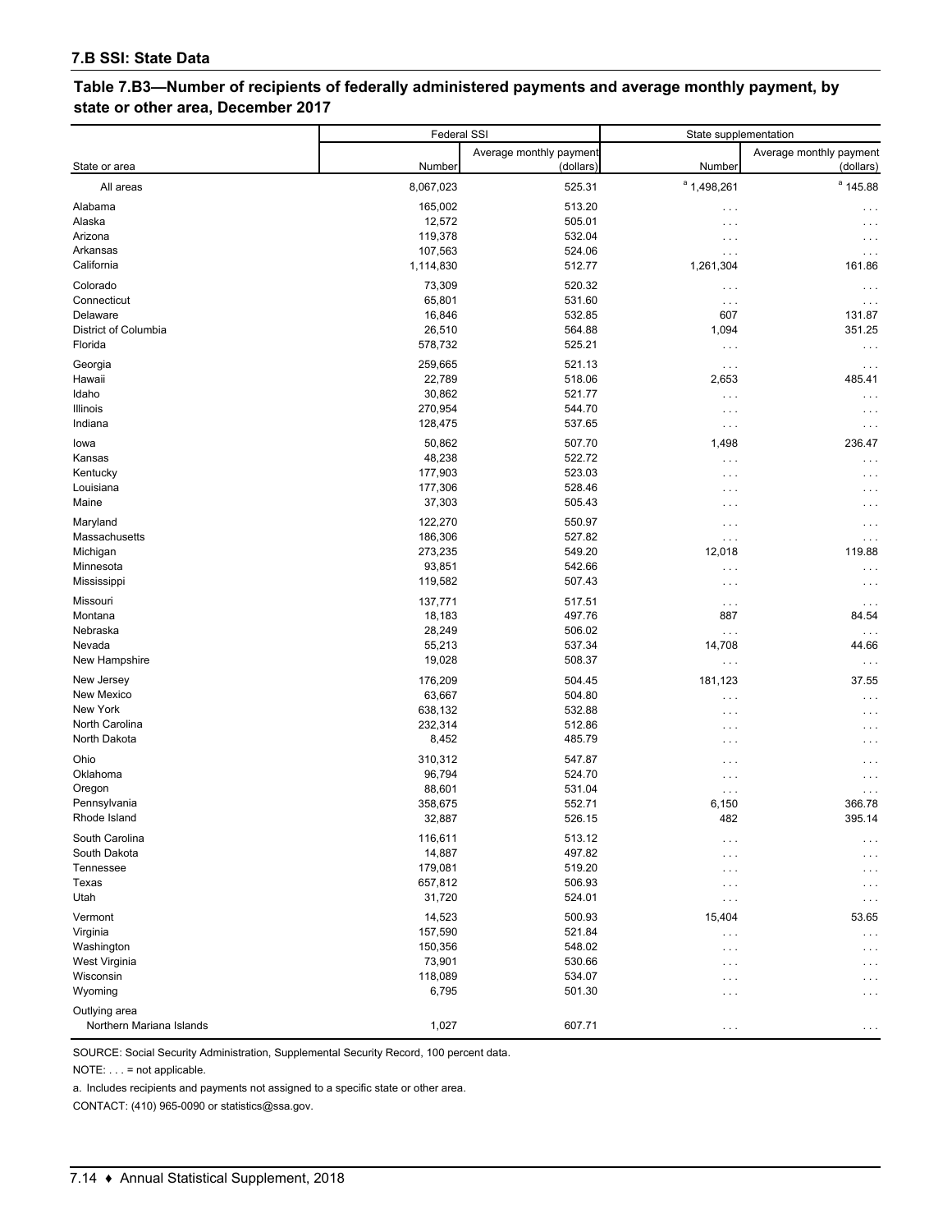## **Table 7.B3—Number of recipients of federally administered payments and average monthly payment, by state or other area, December 2017**

|                                           | Federal SSI        |                                      | State supplementation |                                      |  |
|-------------------------------------------|--------------------|--------------------------------------|-----------------------|--------------------------------------|--|
| State or area                             | Number             | Average monthly payment<br>(dollars) | Number                | Average monthly payment<br>(dollars) |  |
| All areas                                 | 8,067,023          | 525.31                               | $^a$ 1,498,261        | $a$ 145.88                           |  |
| Alabama<br>Alaska                         | 165,002<br>12,572  | 513.20<br>505.01                     | $\cdots$<br>$\cdots$  | $\cdots$                             |  |
| Arizona                                   | 119,378            | 532.04                               | $\cdots$              | .                                    |  |
| Arkansas<br>California                    | 107,563            | 524.06                               | $\cdots$              |                                      |  |
|                                           | 1,114,830          | 512.77                               | 1,261,304             | 161.86                               |  |
| Colorado<br>Connecticut                   | 73,309<br>65,801   | 520.32<br>531.60                     | $\cdots$              | $\cdots$                             |  |
| Delaware                                  | 16,846             | 532.85                               | $\cdots$<br>607       | $\cdots$<br>131.87                   |  |
| District of Columbia                      | 26,510             | 564.88                               | 1,094                 | 351.25                               |  |
| Florida                                   | 578,732            | 525.21                               | $\cdots$              | .                                    |  |
| Georgia                                   | 259,665            | 521.13                               | $\cdots$              | $\cdots$                             |  |
| Hawaii                                    | 22,789             | 518.06                               | 2,653                 | 485.41                               |  |
| Idaho                                     | 30,862             | 521.77                               | $\cdots$              | $\cdots$                             |  |
| Illinois                                  | 270,954            | 544.70                               | $\cdots$              | .                                    |  |
| Indiana                                   | 128,475            | 537.65                               | $\cdots$              | .                                    |  |
| lowa                                      | 50,862             | 507.70                               | 1,498                 | 236.47                               |  |
| Kansas                                    | 48,238             | 522.72                               | $\cdots$              | $\cdots$                             |  |
| Kentucky<br>Louisiana                     | 177,903<br>177,306 | 523.03<br>528.46                     | $\cdots$              |                                      |  |
| Maine                                     | 37,303             | 505.43                               | $\cdots$<br>$\cdots$  | $\cdot$ .<br>.                       |  |
| Maryland                                  | 122,270            | 550.97                               | $\cdots$              |                                      |  |
| Massachusetts                             | 186,306            | 527.82                               | $\cdots$              | .<br>$\cdots$                        |  |
| Michigan                                  | 273,235            | 549.20                               | 12,018                | 119.88                               |  |
| Minnesota                                 | 93,851             | 542.66                               | $\cdots$              |                                      |  |
| Mississippi                               | 119,582            | 507.43                               | $\cdots$              | $\cdots$                             |  |
| Missouri                                  | 137,771            | 517.51                               | $\cdots$              | $\cdots$                             |  |
| Montana                                   | 18,183             | 497.76                               | 887                   | 84.54                                |  |
| Nebraska                                  | 28,249             | 506.02                               | $\ldots$              | $\cdots$                             |  |
| Nevada<br>New Hampshire                   | 55,213<br>19,028   | 537.34<br>508.37                     | 14,708<br>$\cdots$    | 44.66<br>$\cdots$                    |  |
|                                           |                    |                                      |                       |                                      |  |
| New Jersey<br>New Mexico                  | 176,209<br>63,667  | 504.45<br>504.80                     | 181,123<br>$\cdots$   | 37.55<br>$\cdots$                    |  |
| New York                                  | 638,132            | 532.88                               | $\cdots$              | .                                    |  |
| North Carolina                            | 232,314            | 512.86                               | $\cdots$              | .                                    |  |
| North Dakota                              | 8,452              | 485.79                               | $\cdots$              |                                      |  |
| Ohio                                      | 310,312            | 547.87                               | $\cdots$              | .                                    |  |
| Oklahoma                                  | 96,794             | 524.70                               | $\cdots$              | .                                    |  |
| Oregon                                    | 88,601             | 531.04                               | $\cdots$              | $\cdots$                             |  |
| Pennsylvania<br>Rhode Island              | 358,675<br>32,887  | 552.71<br>526.15                     | 6,150<br>482          | 366.78<br>395.14                     |  |
|                                           |                    |                                      |                       |                                      |  |
| South Carolina<br>South Dakota            | 116,611<br>14,887  | 513.12<br>497.82                     | $\cdots$              | .                                    |  |
| Tennessee                                 | 179,081            | 519.20                               | $\cdots$<br>$\cdots$  | $\cdots$<br>.                        |  |
| Texas                                     | 657,812            | 506.93                               | $\cdots$              | .                                    |  |
| Utah                                      | 31,720             | 524.01                               | $\sim$ $\sim$ $\sim$  | $\cdots$                             |  |
| Vermont                                   | 14,523             | 500.93                               | 15,404                | 53.65                                |  |
| Virginia                                  | 157,590            | 521.84                               | $\cdots$              | .                                    |  |
| Washington                                | 150,356            | 548.02                               | $\sim$ $\sim$ $\sim$  | .                                    |  |
| West Virginia                             | 73,901             | 530.66                               | $\cdots$              | .                                    |  |
| Wisconsin<br>Wyoming                      | 118,089<br>6,795   | 534.07<br>501.30                     | $\cdots$              | .                                    |  |
|                                           |                    |                                      | $\cdots$              | .                                    |  |
| Outlying area<br>Northern Mariana Islands | 1,027              | 607.71                               | $\sim$ $\sim$ $\sim$  | $\cdots$                             |  |

SOURCE: Social Security Administration, Supplemental Security Record, 100 percent data.

NOTE: . . . = not applicable.

a. Includes recipients and payments not assigned to a specific state or other area.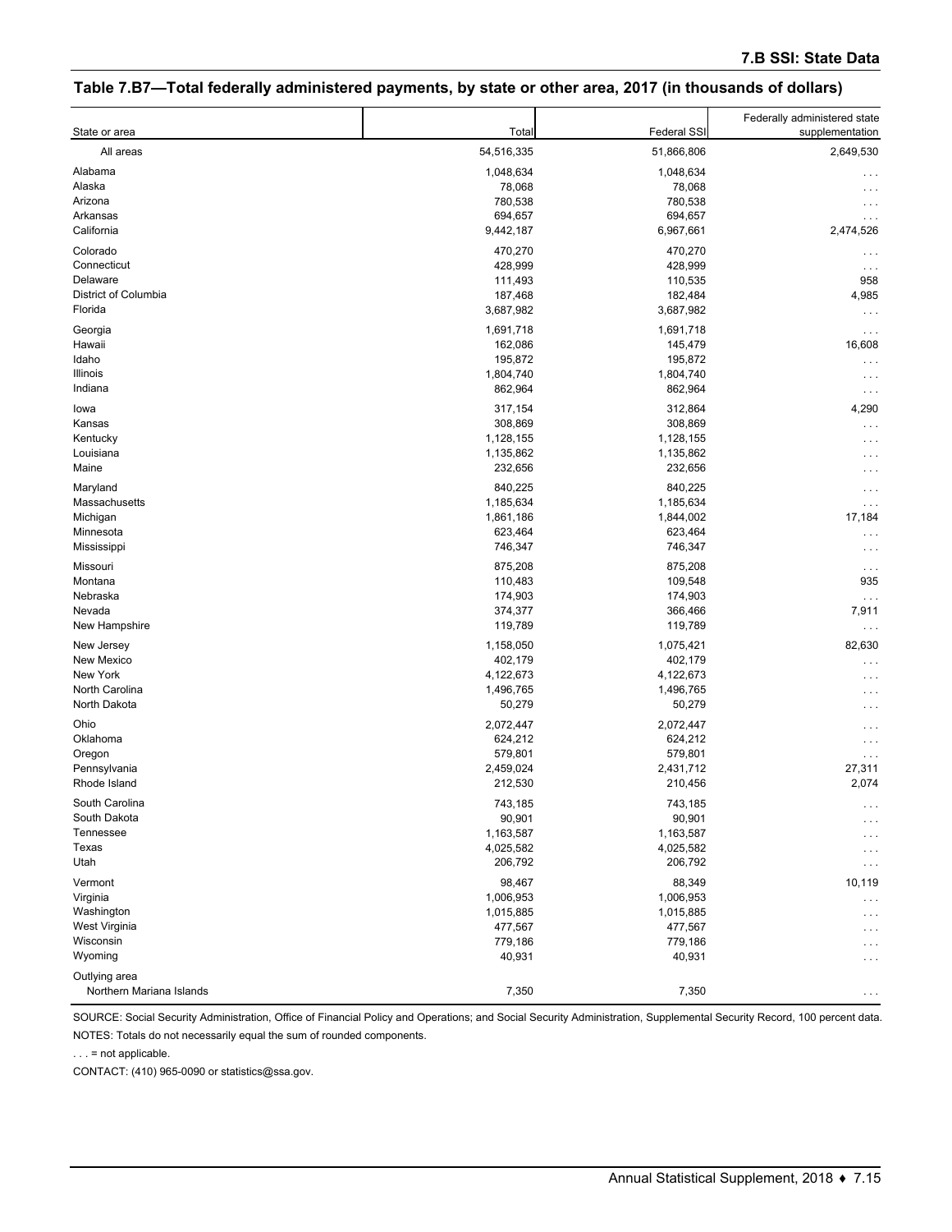## **Table 7.B7—Total federally administered payments, by state or other area, 2017 (in thousands of dollars)**

| State or area            | Total      | Federal SSI | Federally administered state<br>supplementation |
|--------------------------|------------|-------------|-------------------------------------------------|
| All areas                | 54,516,335 | 51,866,806  | 2,649,530                                       |
| Alabama                  | 1,048,634  | 1,048,634   |                                                 |
| Alaska                   | 78,068     | 78,068      | .                                               |
| Arizona                  | 780,538    | 780,538     | .                                               |
| Arkansas                 | 694,657    | 694,657     | .                                               |
| California               | 9,442,187  | 6,967,661   | 2,474,526                                       |
| Colorado                 | 470,270    | 470,270     |                                                 |
| Connecticut              | 428,999    | 428,999     |                                                 |
| Delaware                 | 111,493    | 110,535     | 958                                             |
| District of Columbia     | 187,468    | 182,484     | 4,985                                           |
| Florida                  | 3,687,982  | 3,687,982   | .                                               |
| Georgia                  | 1,691,718  | 1,691,718   | $\cdots$                                        |
| Hawaii                   | 162,086    | 145,479     | 16,608                                          |
| Idaho                    | 195,872    | 195,872     | $\cdots$                                        |
| Illinois                 | 1,804,740  | 1,804,740   | $\cdots$                                        |
| Indiana                  | 862,964    | 862,964     | $\cdots$                                        |
| lowa                     | 317,154    | 312,864     | 4,290                                           |
| Kansas                   | 308,869    | 308,869     | .                                               |
| Kentucky                 | 1,128,155  | 1,128,155   | . .                                             |
| Louisiana                | 1,135,862  | 1,135,862   | .                                               |
| Maine                    | 232,656    | 232,656     |                                                 |
| Maryland                 | 840,225    | 840,225     |                                                 |
| Massachusetts            | 1,185,634  | 1,185,634   | .<br>$\cdots$                                   |
| Michigan                 | 1,861,186  | 1,844,002   | 17,184                                          |
| Minnesota                | 623,464    | 623,464     | $\cdots$                                        |
| Mississippi              | 746,347    | 746,347     | $\cdots$                                        |
| Missouri                 | 875,208    | 875,208     |                                                 |
| Montana                  | 110,483    | 109,548     | 935                                             |
| Nebraska                 | 174,903    | 174,903     | $\ddotsc$                                       |
| Nevada                   | 374,377    | 366,466     | 7,911                                           |
| New Hampshire            | 119,789    | 119,789     | .                                               |
| New Jersey               | 1,158,050  | 1,075,421   | 82,630                                          |
| New Mexico               | 402,179    | 402,179     | $\sim$                                          |
| New York                 | 4,122,673  | 4,122,673   | .                                               |
| North Carolina           | 1,496,765  | 1,496,765   |                                                 |
| North Dakota             | 50,279     | 50,279      | .                                               |
| Ohio                     | 2,072,447  | 2,072,447   |                                                 |
| Oklahoma                 | 624,212    | 624,212     |                                                 |
| Oregon                   | 579,801    | 579,801     | $\cdots$                                        |
| Pennsylvania             | 2,459,024  | 2,431,712   | 27,311                                          |
| Rhode Island             | 212,530    | 210,456     | 2,074                                           |
| South Carolina           | 743,185    | 743,185     |                                                 |
| South Dakota             | 90,901     | 90,901      | $\cdots$<br>$\cdots$                            |
| Tennessee                | 1,163,587  | 1,163,587   | .                                               |
| Texas                    | 4,025,582  | 4,025,582   | .                                               |
| Utah                     | 206,792    | 206,792     | .                                               |
| Vermont                  | 98,467     | 88,349      | 10,119                                          |
| Virginia                 | 1,006,953  | 1,006,953   |                                                 |
| Washington               | 1,015,885  | 1,015,885   | .<br>.                                          |
| West Virginia            | 477,567    | 477,567     | .                                               |
| Wisconsin                | 779,186    | 779,186     | .                                               |
| Wyoming                  | 40,931     | 40,931      | .                                               |
| Outlying area            |            |             |                                                 |
| Northern Mariana Islands | 7,350      | 7,350       | .                                               |

SOURCE: Social Security Administration, Office of Financial Policy and Operations; and Social Security Administration, Supplemental Security Record, 100 percent data. NOTES: Totals do not necessarily equal the sum of rounded components.

. . . = not applicable.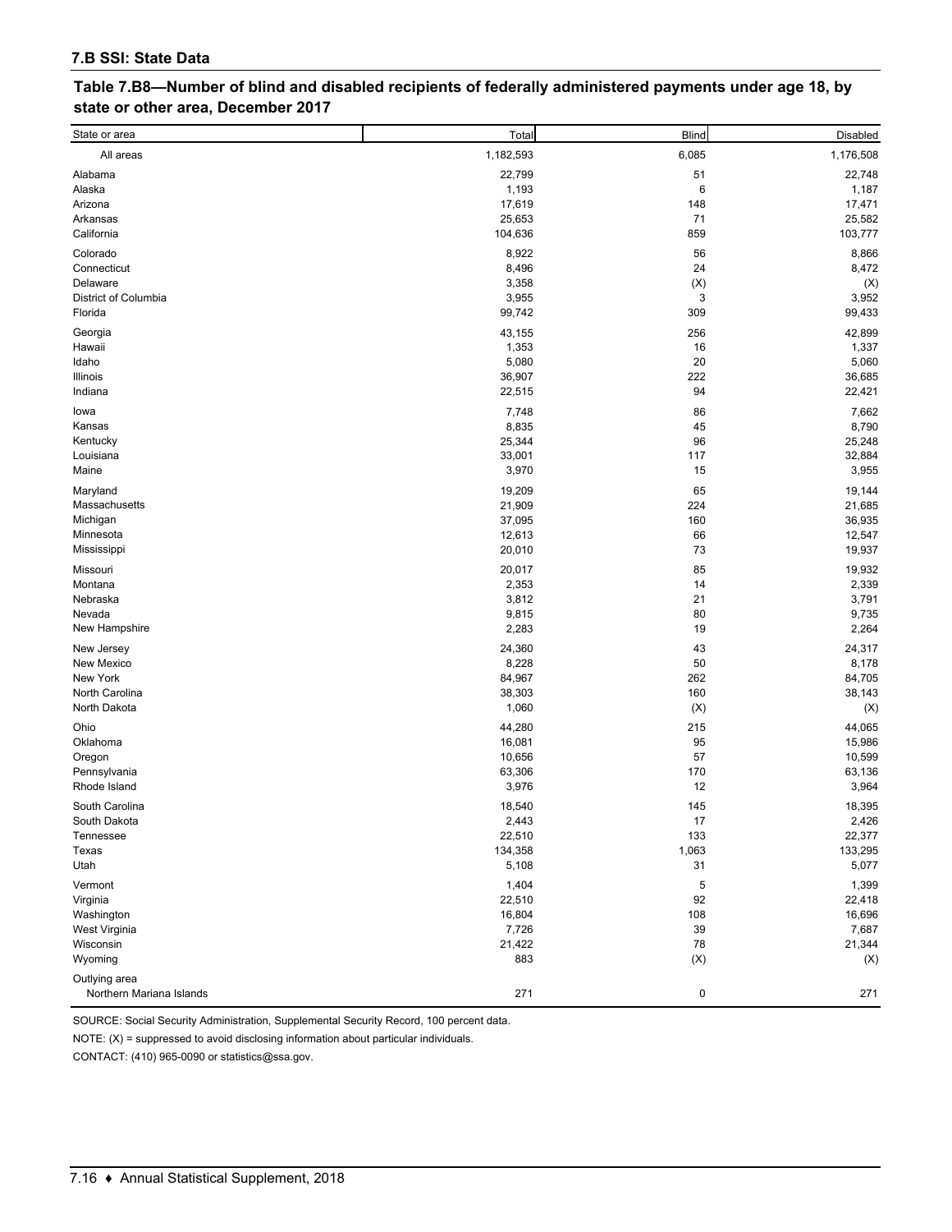| Table 7.B8—Number of blind and disabled recipients of federally administered payments under age 18, by |
|--------------------------------------------------------------------------------------------------------|
| state or other area, December 2017                                                                     |

| State or area                             | Total            | <b>Blind</b>   | Disabled         |
|-------------------------------------------|------------------|----------------|------------------|
| All areas                                 | 1,182,593        | 6,085          | 1,176,508        |
| Alabama                                   | 22,799           | 51             | 22,748           |
| Alaska                                    | 1,193            | 6              | 1,187            |
| Arizona                                   | 17,619           | 148            | 17,471           |
| Arkansas                                  | 25,653           | 71             | 25,582           |
| California                                | 104,636          | 859            | 103,777          |
| Colorado                                  | 8,922            | 56             | 8,866            |
| Connecticut                               | 8,496            | 24             | 8,472            |
| Delaware                                  | 3,358            | (X)            | (X)              |
| District of Columbia                      | 3,955            | 3              | 3,952            |
| Florida                                   | 99,742           | 309            | 99,433           |
| Georgia                                   | 43,155           | 256            | 42,899           |
| Hawaii                                    | 1,353            | 16             | 1,337            |
| Idaho                                     | 5,080            | 20             | 5,060            |
| Illinois                                  | 36,907           | 222            | 36,685           |
| Indiana                                   | 22,515           | 94             | 22,421           |
| lowa                                      | 7,748            | 86             | 7,662            |
| Kansas                                    | 8,835            | 45             | 8,790            |
| Kentucky                                  | 25,344           | 96             | 25,248           |
| Louisiana                                 | 33,001           | 117            | 32,884           |
| Maine                                     | 3,970            | 15             | 3,955            |
| Maryland                                  | 19,209           | 65             | 19,144           |
| Massachusetts                             | 21,909           | 224            | 21,685           |
| Michigan                                  | 37,095           | 160            | 36,935           |
| Minnesota                                 | 12,613           | 66             | 12,547           |
| Mississippi                               | 20,010           | 73             | 19,937           |
| Missouri                                  | 20,017           | 85             | 19,932           |
| Montana                                   | 2,353            | 14             | 2,339            |
| Nebraska                                  | 3,812            | 21             | 3,791            |
| Nevada                                    | 9,815            | 80             | 9,735            |
| New Hampshire                             | 2,283            | 19             | 2,264            |
| New Jersey                                | 24,360           | 43             | 24,317           |
| New Mexico                                | 8,228            | 50             | 8,178            |
| New York                                  | 84,967           | 262            | 84,705           |
| North Carolina                            | 38,303           | 160            | 38,143           |
| North Dakota                              | 1,060            | (X)            | (X)              |
| Ohio                                      | 44,280           | 215            | 44,065           |
| Oklahoma                                  | 16,081           | 95             | 15,986           |
| Oregon                                    | 10,656           | 57             | 10,599           |
| Pennsylvania<br>Rhode Island              | 63,306           | 170            | 63,136           |
|                                           | 3,976            | 12             | 3,964            |
| South Carolina                            | 18,540           | 145            | 18,395           |
| South Dakota                              | 2,443            | 17             | 2,426            |
| Tennessee                                 | 22,510           | 133            | 22,377           |
| Texas<br>Utah                             | 134,358<br>5,108 | 1,063<br>31    | 133,295<br>5,077 |
|                                           |                  |                |                  |
| Vermont                                   | 1,404            | 5              | 1,399            |
| Virginia                                  | 22,510           | 92             | 22,418           |
| Washington<br>West Virginia               | 16,804<br>7,726  | 108            | 16,696           |
| Wisconsin                                 | 21,422           | 39<br>78       | 7,687<br>21,344  |
| Wyoming                                   | 883              | $(\mathsf{X})$ | (X)              |
|                                           |                  |                |                  |
| Outlying area<br>Northern Mariana Islands | 271              | $\pmb{0}$      | 271              |

SOURCE: Social Security Administration, Supplemental Security Record, 100 percent data.

NOTE: (X) = suppressed to avoid disclosing information about particular individuals.